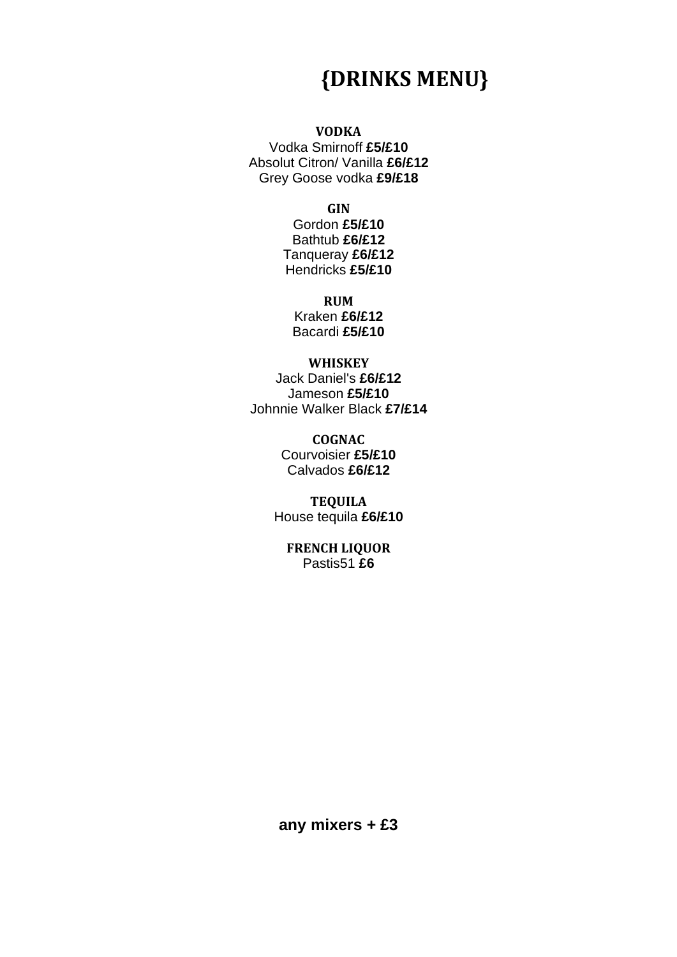## **{DRINKS MENU}**

## **VODKA**

Vodka Smirnoff **£5/£10** Absolut Citron/ Vanilla **£6/£12** Grey Goose vodka **£9/£18**

**GIN**

Gordon **£5/£10** Bathtub **£6/£12** Tanqueray **£6/£12** Hendricks **£5/£10**

#### **RUM**

Kraken **£6/£12** Bacardi **£5/£10**

#### **WHISKEY**

Jack Daniel's **£6/£12** Jameson **£5/£10** Johnnie Walker Black **£7/£14**

## **COGNAC**

Courvoisier **£5/£10** Calvados **£6/£12**

**TEQUILA** House tequila **£6/£10**

> **FRENCH LIQUOR** Pastis51 **£6**

**any mixers + £3**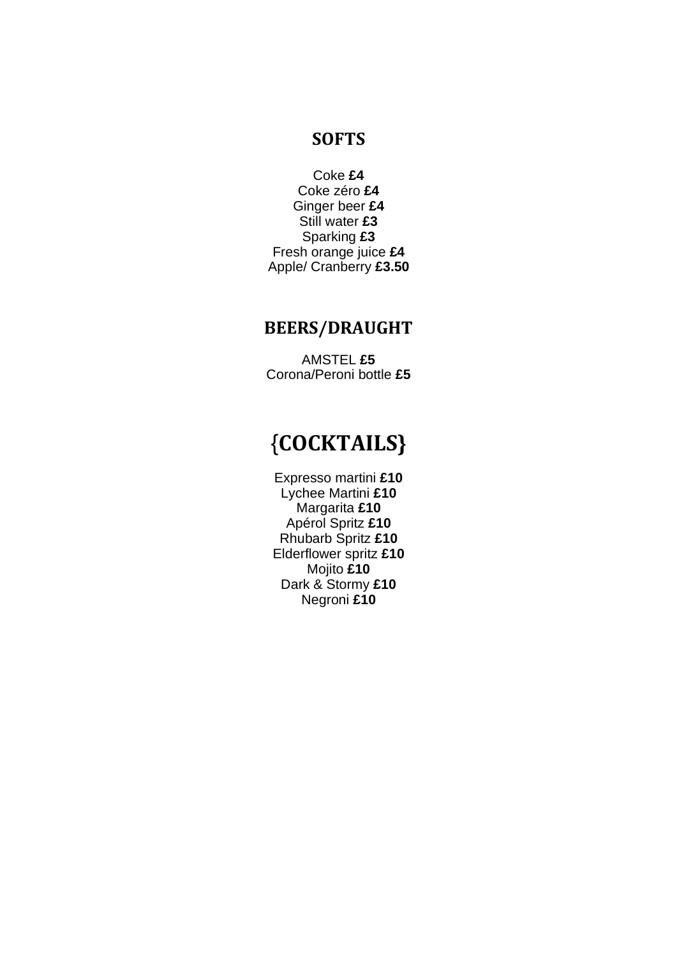## **SOFTS**

Coke **£4** Coke zéro **£4** Ginger beer **£4** Still water **£3** Sparking **£3** Fresh orange juice **£4** Apple/ Cranberry **£3.50**

## **BEERS/DRAUGHT**

AMSTEL **£5** Corona/Peroni bottle **£5**

## {**COCKTAILS}**

Expresso martini **£10** Lychee Martini **£10** Margarita **£10** Apérol Spritz **£10** Rhubarb Spritz **£10** Elderflower spritz **£10** Mojito **£10** Dark & Stormy **£10** Negroni **£10**